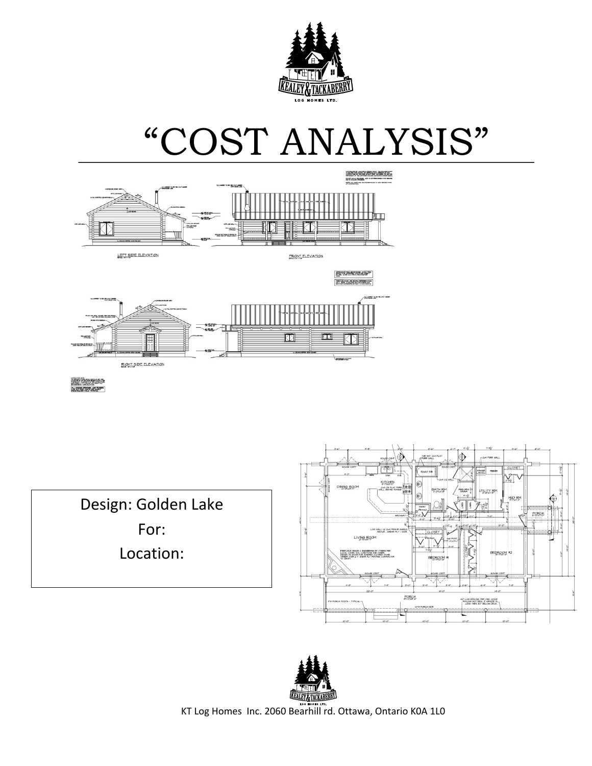

# "COST ANALYSIS"



en Alijar<br>Rusianar

Design: Golden Lake For: Location: 





KT Log Homes Inc. 2060 Bearhill rd. Ottawa, Ontario K0A 1L0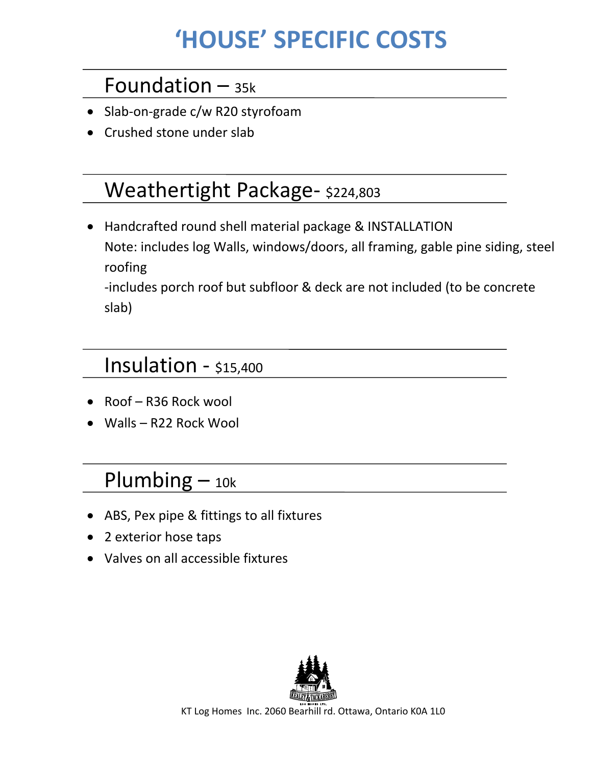# **'HOUSE' SPECIFIC COSTS**

#### Foundation  $-$  35k

- Slab-on-grade c/w R20 styrofoam
- Crushed stone under slab

#### Weathertight Package- \$224,803

• Handcrafted round shell material package & INSTALLATION Note: includes log Walls, windows/doors, all framing, gable pine siding, steel roofing

-includes porch roof but subfloor & deck are not included (to be concrete slab)

#### Insulation  $-$  \$15,400

- Roof  $-$  R36 Rock wool
- $\bullet$  Walls R22 Rock Wool

#### Plumbing  $-$  10k

- ABS, Pex pipe & fittings to all fixtures
- 2 exterior hose taps
- Valves on all accessible fixtures



KT Log Homes Inc. 2060 Bearhill rd. Ottawa, Ontario K0A 1L0